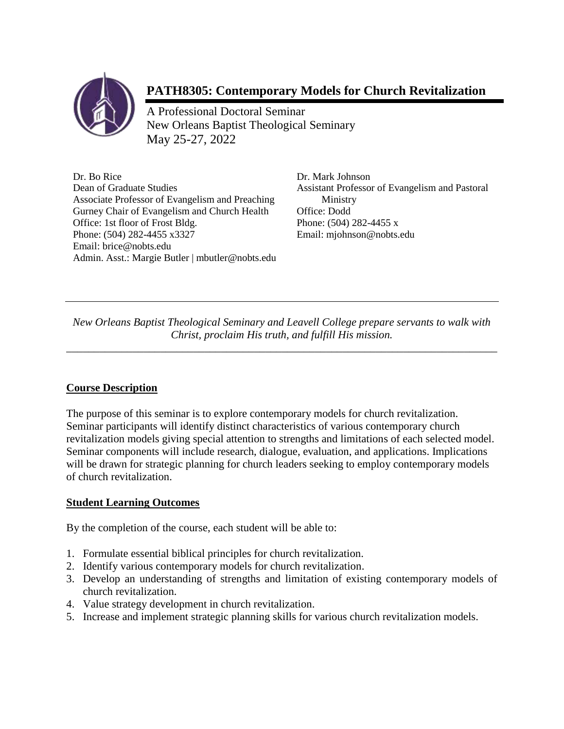

# **PATH8305: Contemporary Models for Church Revitalization**

A Professional Doctoral Seminar New Orleans Baptist Theological Seminary May 25-27, 2022

Dr. Bo Rice Dr. Mark Johnson<br>Dean of Graduate Studies Assistant Professor Associate Professor of Evangelism and Preaching Ministry Gurney Chair of Evangelism and Church Health Office: Dodd Office: 1st floor of Frost Bldg. Phone: (504) 282-4455 x Phone: (504) 282-4455 x3327 Email: mjohnson@nobts.edu Email: brice@nobts.edu Admin. Asst.: Margie Butler | mbutler@nobts.edu

Assistant Professor of Evangelism and Pastoral

*New Orleans Baptist Theological Seminary and Leavell College prepare servants to walk with Christ, proclaim His truth, and fulfill His mission.* 

*\_\_\_\_\_\_\_\_\_\_\_\_\_\_\_\_\_\_\_\_\_\_\_\_\_\_\_\_\_\_\_\_\_\_\_\_\_\_\_\_\_\_\_\_\_\_\_\_\_\_\_\_\_\_\_\_\_\_\_\_\_\_\_\_\_\_\_\_\_\_\_\_\_\_\_\_\_\_*

# **Course Description**

The purpose of this seminar is to explore contemporary models for church revitalization. Seminar participants will identify distinct characteristics of various contemporary church revitalization models giving special attention to strengths and limitations of each selected model. Seminar components will include research, dialogue, evaluation, and applications. Implications will be drawn for strategic planning for church leaders seeking to employ contemporary models of church revitalization.

# **Student Learning Outcomes**

By the completion of the course, each student will be able to:

- 1. Formulate essential biblical principles for church revitalization.
- 2. Identify various contemporary models for church revitalization.
- 3. Develop an understanding of strengths and limitation of existing contemporary models of church revitalization.
- 4. Value strategy development in church revitalization.
- 5. Increase and implement strategic planning skills for various church revitalization models.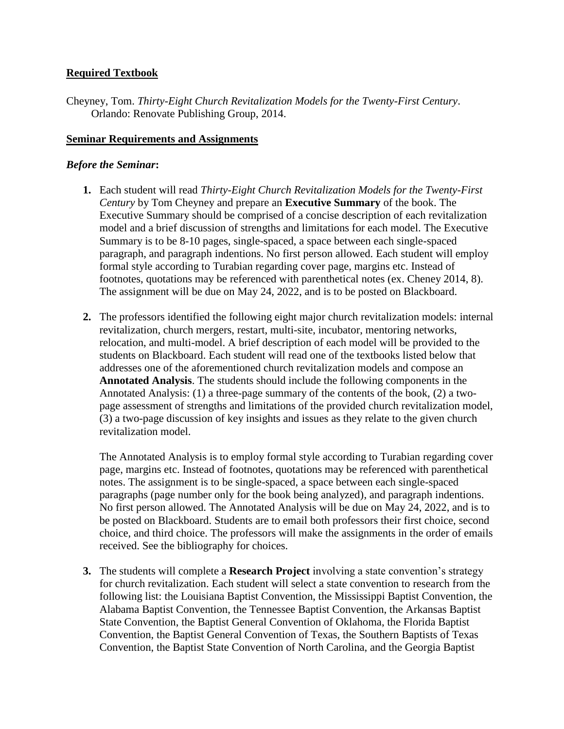## **Required Textbook**

Cheyney, Tom. *Thirty-Eight Church Revitalization Models for the Twenty-First Century*. Orlando: Renovate Publishing Group, 2014.

#### **Seminar Requirements and Assignments**

#### *Before the Seminar***:**

- **1.** Each student will read *Thirty-Eight Church Revitalization Models for the Twenty-First Century* by Tom Cheyney and prepare an **Executive Summary** of the book. The Executive Summary should be comprised of a concise description of each revitalization model and a brief discussion of strengths and limitations for each model. The Executive Summary is to be 8-10 pages, single-spaced, a space between each single-spaced paragraph, and paragraph indentions. No first person allowed. Each student will employ formal style according to Turabian regarding cover page, margins etc. Instead of footnotes, quotations may be referenced with parenthetical notes (ex. Cheney 2014, 8). The assignment will be due on May 24, 2022, and is to be posted on Blackboard.
- **2.** The professors identified the following eight major church revitalization models: internal revitalization, church mergers, restart, multi-site, incubator, mentoring networks, relocation, and multi-model. A brief description of each model will be provided to the students on Blackboard. Each student will read one of the textbooks listed below that addresses one of the aforementioned church revitalization models and compose an **Annotated Analysis**. The students should include the following components in the Annotated Analysis: (1) a three-page summary of the contents of the book, (2) a twopage assessment of strengths and limitations of the provided church revitalization model, (3) a two-page discussion of key insights and issues as they relate to the given church revitalization model.

The Annotated Analysis is to employ formal style according to Turabian regarding cover page, margins etc. Instead of footnotes, quotations may be referenced with parenthetical notes. The assignment is to be single-spaced, a space between each single-spaced paragraphs (page number only for the book being analyzed), and paragraph indentions. No first person allowed. The Annotated Analysis will be due on May 24, 2022, and is to be posted on Blackboard. Students are to email both professors their first choice, second choice, and third choice. The professors will make the assignments in the order of emails received. See the bibliography for choices.

**3.** The students will complete a **Research Project** involving a state convention's strategy for church revitalization. Each student will select a state convention to research from the following list: the Louisiana Baptist Convention, the Mississippi Baptist Convention, the Alabama Baptist Convention, the Tennessee Baptist Convention, the Arkansas Baptist State Convention, the Baptist General Convention of Oklahoma, the Florida Baptist Convention, the Baptist General Convention of Texas, the Southern Baptists of Texas Convention, the Baptist State Convention of North Carolina, and the Georgia Baptist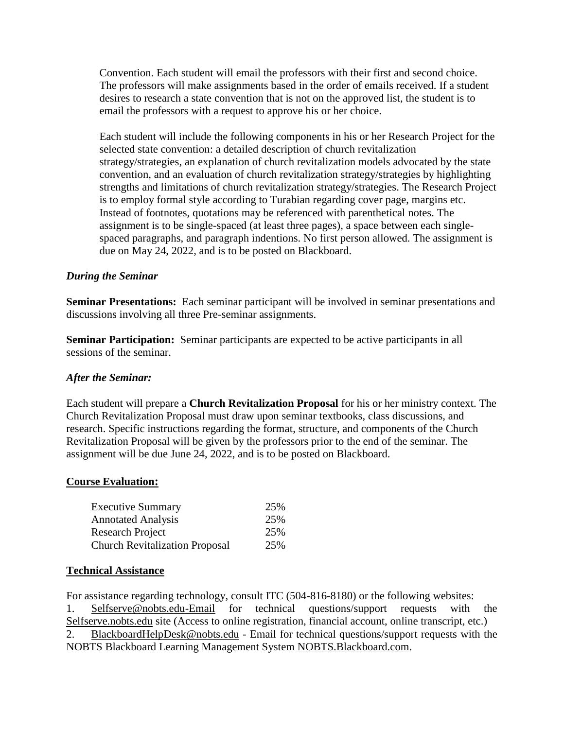Convention. Each student will email the professors with their first and second choice. The professors will make assignments based in the order of emails received. If a student desires to research a state convention that is not on the approved list, the student is to email the professors with a request to approve his or her choice.

Each student will include the following components in his or her Research Project for the selected state convention: a detailed description of church revitalization strategy/strategies, an explanation of church revitalization models advocated by the state convention, and an evaluation of church revitalization strategy/strategies by highlighting strengths and limitations of church revitalization strategy/strategies. The Research Project is to employ formal style according to Turabian regarding cover page, margins etc. Instead of footnotes, quotations may be referenced with parenthetical notes. The assignment is to be single-spaced (at least three pages), a space between each singlespaced paragraphs, and paragraph indentions. No first person allowed. The assignment is due on May 24, 2022, and is to be posted on Blackboard.

## *During the Seminar*

**Seminar Presentations:** Each seminar participant will be involved in seminar presentations and discussions involving all three Pre-seminar assignments.

**Seminar Participation:** Seminar participants are expected to be active participants in all sessions of the seminar.

#### *After the Seminar:*

Each student will prepare a **Church Revitalization Proposal** for his or her ministry context. The Church Revitalization Proposal must draw upon seminar textbooks, class discussions, and research. Specific instructions regarding the format, structure, and components of the Church Revitalization Proposal will be given by the professors prior to the end of the seminar. The assignment will be due June 24, 2022, and is to be posted on Blackboard.

#### **Course Evaluation:**

| <b>Executive Summary</b>                                                               | 25%        |
|----------------------------------------------------------------------------------------|------------|
| <b>Annotated Analysis</b><br>Research Project<br><b>Church Revitalization Proposal</b> | 25%<br>25% |
|                                                                                        |            |

#### **Technical Assistance**

For assistance regarding technology, consult ITC (504-816-8180) or the following websites: 1. Selfserve@nobts.edu-Email for technical questions/support requests with the Selfserve.nobts.edu site (Access to online registration, financial account, online transcript, etc.) 2. BlackboardHelpDesk@nobts.edu - Email for technical questions/support requests with the NOBTS Blackboard Learning Management System NOBTS.Blackboard.com.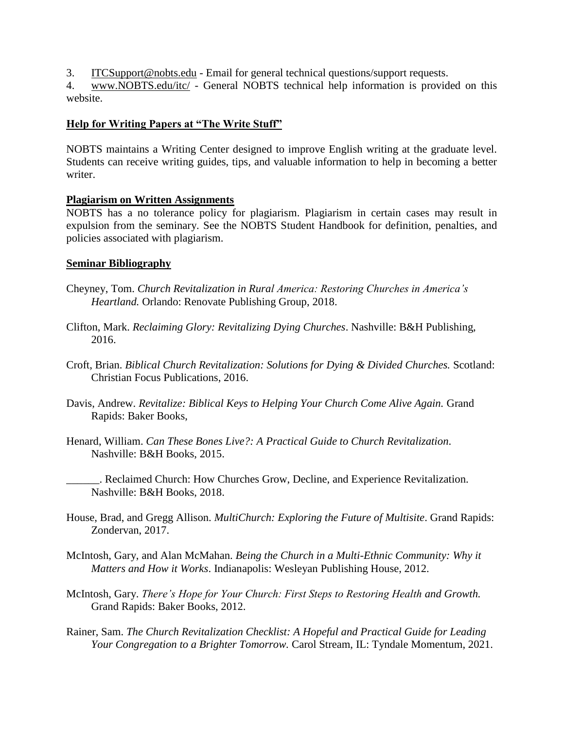3. ITCSupport@nobts.edu - Email for general technical questions/support requests.

4. www.NOBTS.edu/itc/ - General NOBTS technical help information is provided on this website.

## **Help for Writing Papers at "The Write Stuff"**

NOBTS maintains a Writing Center designed to improve English writing at the graduate level. Students can receive writing guides, tips, and valuable information to help in becoming a better writer.

## **Plagiarism on Written Assignments**

NOBTS has a no tolerance policy for plagiarism. Plagiarism in certain cases may result in expulsion from the seminary. See the NOBTS Student Handbook for definition, penalties, and policies associated with plagiarism.

#### **Seminar Bibliography**

- Cheyney, Tom. *Church Revitalization in Rural America: Restoring Churches in America's Heartland.* Orlando: Renovate Publishing Group, 2018.
- Clifton, Mark. *Reclaiming Glory: Revitalizing Dying Churches*. Nashville: B&H Publishing, 2016.
- Croft, Brian. *Biblical Church Revitalization: Solutions for Dying & Divided Churches.* Scotland: Christian Focus Publications, 2016.
- Davis, Andrew. *Revitalize: Biblical Keys to Helping Your Church Come Alive Again.* Grand Rapids: Baker Books,
- Henard, William. *Can These Bones Live?: A Practical Guide to Church Revitalization*. Nashville: B&H Books, 2015.
	- \_\_\_\_\_\_. Reclaimed Church: How Churches Grow, Decline, and Experience Revitalization. Nashville: B&H Books, 2018.
- House, Brad, and Gregg Allison. *MultiChurch: Exploring the Future of Multisite*. Grand Rapids: Zondervan, 2017.
- McIntosh, Gary, and Alan McMahan. *Being the Church in a Multi-Ethnic Community: Why it Matters and How it Works*. Indianapolis: Wesleyan Publishing House, 2012.
- McIntosh, Gary. *There's Hope for Your Church: First Steps to Restoring Health and Growth.* Grand Rapids: Baker Books, 2012.
- Rainer, Sam. *The Church Revitalization Checklist: A Hopeful and Practical Guide for Leading Your Congregation to a Brighter Tomorrow.* Carol Stream, IL: Tyndale Momentum, 2021.